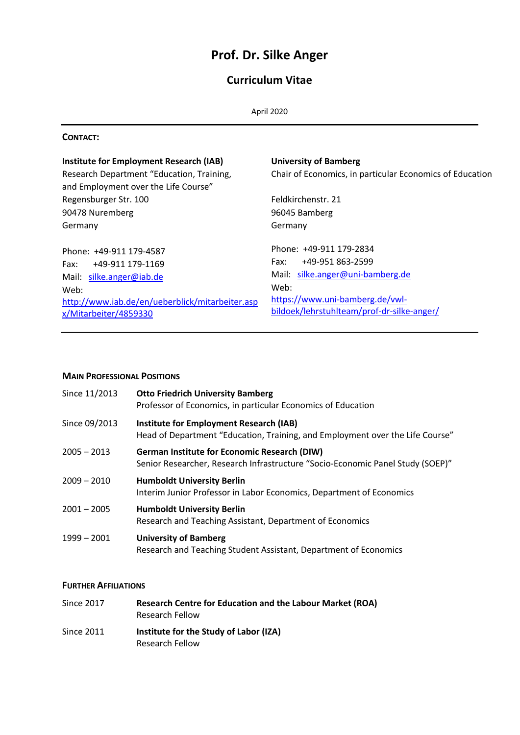# **Prof. Dr. Silke Anger**

## **Curriculum Vitae**

#### **CONTACT:**

| <b>Institute for Employment Research (IAB)</b><br>Research Department "Education, Training,<br>and Employment over the Life Course"                              | <b>University of Bamberg</b><br>Chair of Economics, in particular Economics of Education                                                                                         |
|------------------------------------------------------------------------------------------------------------------------------------------------------------------|----------------------------------------------------------------------------------------------------------------------------------------------------------------------------------|
| Regensburger Str. 100<br>90478 Nuremberg                                                                                                                         | Feldkirchenstr. 21<br>96045 Bamberg                                                                                                                                              |
| Germany                                                                                                                                                          | Germany                                                                                                                                                                          |
| Phone: +49-911 179-4587<br>Fax: +49-911 179-1169<br>Mail: silke.anger@iab.de<br>Web:<br>http://www.iab.de/en/ueberblick/mitarbeiter.asp<br>x/Mitarbeiter/4859330 | Phone: +49-911 179-2834<br>+49-951 863-2599<br>Fax:<br>Mail: silke.anger@uni-bamberg.de<br>Web:<br>https://www.uni-bamberg.de/vwl-<br>bildoek/lehrstuhlteam/prof-dr-silke-anger/ |

## **MAIN PROFESSIONAL POSITIONS**

| Since 11/2013 | <b>Otto Friedrich University Bamberg</b><br>Professor of Economics, in particular Economics of Education                              |
|---------------|---------------------------------------------------------------------------------------------------------------------------------------|
| Since 09/2013 | <b>Institute for Employment Research (IAB)</b><br>Head of Department "Education, Training, and Employment over the Life Course"       |
| $2005 - 2013$ | <b>German Institute for Economic Research (DIW)</b><br>Senior Researcher, Research Infrastructure "Socio-Economic Panel Study (SOEP)" |
| $2009 - 2010$ | <b>Humboldt University Berlin</b><br>Interim Junior Professor in Labor Economics, Department of Economics                             |
| $2001 - 2005$ | <b>Humboldt University Berlin</b><br>Research and Teaching Assistant, Department of Economics                                         |
| 1999 - 2001   | <b>University of Bamberg</b><br>Research and Teaching Student Assistant, Department of Economics                                      |

## **FURTHER AFFILIATIONS**

| Since 2017        | <b>Research Centre for Education and the Labour Market (ROA)</b><br><b>Research Fellow</b> |
|-------------------|--------------------------------------------------------------------------------------------|
| <b>Since 2011</b> | Institute for the Study of Labor (IZA)<br><b>Research Fellow</b>                           |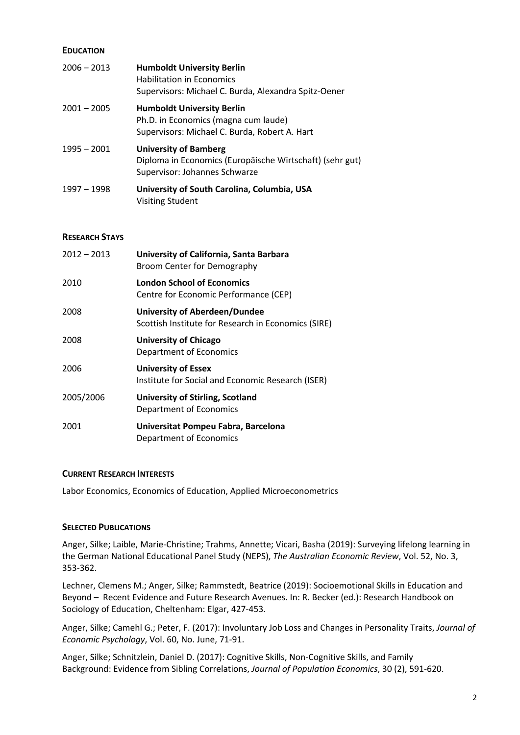#### **EDUCATION**

| $2006 - 2013$ | <b>Humboldt University Berlin</b><br><b>Habilitation in Economics</b><br>Supervisors: Michael C. Burda, Alexandra Spitz-Oener |
|---------------|-------------------------------------------------------------------------------------------------------------------------------|
| $2001 - 2005$ | <b>Humboldt University Berlin</b><br>Ph.D. in Economics (magna cum laude)<br>Supervisors: Michael C. Burda, Robert A. Hart    |
| $1995 - 2001$ | <b>University of Bamberg</b><br>Diploma in Economics (Europäische Wirtschaft) (sehr gut)<br>Supervisor: Johannes Schwarze     |
| 1997 - 1998   | University of South Carolina, Columbia, USA<br><b>Visiting Student</b>                                                        |

#### **RESEARCH STAYS**

| 2010<br><b>London School of Economics</b><br>Centre for Economic Performance (CEP)<br>2008<br>University of Aberdeen/Dundee<br>Scottish Institute for Research in Economics (SIRE)<br>2008<br><b>University of Chicago</b><br>Department of Economics<br>2006<br><b>University of Essex</b><br>Institute for Social and Economic Research (ISER)<br>2005/2006<br><b>University of Stirling, Scotland</b><br>Department of Economics<br>2001<br>Universitat Pompeu Fabra, Barcelona<br>Department of Economics | 2012 – 2013 | University of California, Santa Barbara<br>Broom Center for Demography |
|---------------------------------------------------------------------------------------------------------------------------------------------------------------------------------------------------------------------------------------------------------------------------------------------------------------------------------------------------------------------------------------------------------------------------------------------------------------------------------------------------------------|-------------|------------------------------------------------------------------------|
|                                                                                                                                                                                                                                                                                                                                                                                                                                                                                                               |             |                                                                        |
|                                                                                                                                                                                                                                                                                                                                                                                                                                                                                                               |             |                                                                        |
|                                                                                                                                                                                                                                                                                                                                                                                                                                                                                                               |             |                                                                        |
|                                                                                                                                                                                                                                                                                                                                                                                                                                                                                                               |             |                                                                        |
|                                                                                                                                                                                                                                                                                                                                                                                                                                                                                                               |             |                                                                        |
|                                                                                                                                                                                                                                                                                                                                                                                                                                                                                                               |             |                                                                        |

#### **CURRENT RESEARCH INTERESTS**

Labor Economics, Economics of Education, Applied Microeconometrics

## **SELECTED PUBLICATIONS**

Anger, Silke; Laible, Marie-Christine; Trahms, Annette; Vicari, Basha (2019): Surveying lifelong learning in the German National Educational Panel Study (NEPS), *The Australian Economic Review*, Vol. 52, No. 3, 353-362.

Lechner, Clemens M.; Anger, Silke; Rammstedt, Beatrice (2019): Socioemotional Skills in Education and Beyond – Recent Evidence and Future Research Avenues. In: R. Becker (ed.): Research Handbook on Sociology of Education, Cheltenham: Elgar, 427-453.

Anger, Silke; Camehl G.; Peter, F. (2017): Involuntary Job Loss and Changes in Personality Traits, *Journal of Economic Psychology*, Vol. 60, No. June, 71-91.

Anger, Silke; Schnitzlein, Daniel D. (2017): Cognitive Skills, Non-Cognitive Skills, and Family Background: Evidence from Sibling Correlations, *Journal of Population Economics*, 30 (2), 591-620.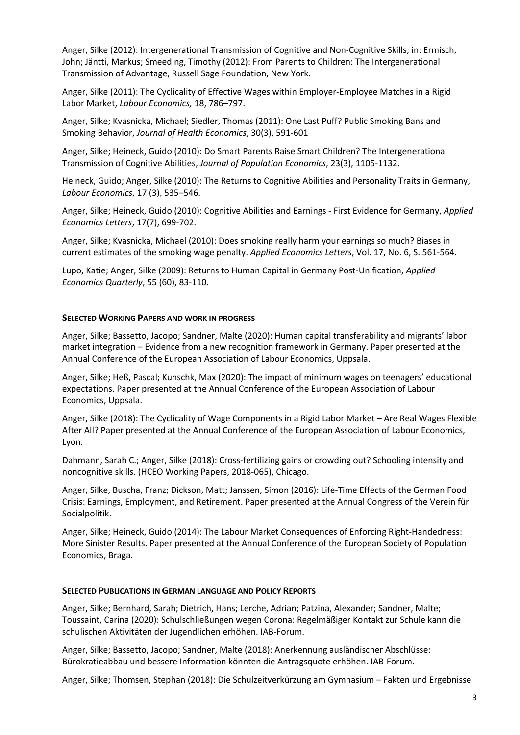Anger, Silke (2012): Intergenerational Transmission of Cognitive and Non-Cognitive Skills; in: Ermisch, John; Jäntti, Markus; Smeeding, Timothy (2012): From Parents to Children: The Intergenerational Transmission of Advantage, Russell Sage Foundation, New York.

Anger, Silke (2011): The Cyclicality of Effective Wages within Employer-Employee Matches in a Rigid Labor Market, *Labour Economics,* 18, 786–797.

Anger, Silke; Kvasnicka, Michael; Siedler, Thomas (2011): One Last Puff? Public Smoking Bans and Smoking Behavior, *Journal of Health Economics*, 30(3), 591-601

Anger, Silke; Heineck, Guido (2010): Do Smart Parents Raise Smart Children? The Intergenerational Transmission of Cognitive Abilities, *Journal of Population Economics*, 23(3), 1105-1132.

Heineck, Guido; Anger, Silke (2010): The Returns to Cognitive Abilities and Personality Traits in Germany, *Labour Economics*, 17 (3), 535–546.

Anger, Silke; Heineck, Guido (2010): Cognitive Abilities and Earnings - First Evidence for Germany, *Applied Economics Letters*, 17(7), 699-702.

Anger, Silke; Kvasnicka, Michael (2010): Does smoking really harm your earnings so much? Biases in current estimates of the smoking wage penalty. *Applied Economics Letters*, Vol. 17, No. 6, S. 561-564.

Lupo, Katie; Anger, Silke (2009): Returns to Human Capital in Germany Post-Unification, *Applied Economics Quarterly*, 55 (60), 83-110.

## **SELECTED WORKING PAPERS AND WORK IN PROGRESS**

Anger, Silke; Bassetto, Jacopo; Sandner, Malte (2020): Human capital transferability and migrants' labor market integration – Evidence from a new recognition framework in Germany. Paper presented at the Annual Conference of the European Association of Labour Economics, Uppsala.

Anger, Silke; Heß, Pascal; Kunschk, Max (2020): The impact of minimum wages on teenagers' educational expectations. Paper presented at the Annual Conference of the European Association of Labour Economics, Uppsala.

Anger, Silke (2018): The Cyclicality of Wage Components in a Rigid Labor Market – Are Real Wages Flexible After All? Paper presented at the Annual Conference of the European Association of Labour Economics, Lyon.

Dahmann, Sarah C.; Anger, Silke (2018): Cross-fertilizing gains or crowding out? Schooling intensity and noncognitive skills. (HCEO Working Papers, 2018-065), Chicago.

Anger, Silke, Buscha, Franz; Dickson, Matt; Janssen, Simon (2016): Life-Time Effects of the German Food Crisis: Earnings, Employment, and Retirement. Paper presented at the Annual Congress of the Verein für Socialpolitik.

Anger, Silke; Heineck, Guido (2014): The Labour Market Consequences of Enforcing Right-Handedness: More Sinister Results. Paper presented at the Annual Conference of the European Society of Population Economics, Braga.

#### **SELECTED PUBLICATIONS IN GERMAN LANGUAGE AND POLICY REPORTS**

Anger, Silke; Bernhard, Sarah; Dietrich, Hans; Lerche, Adrian; Patzina, Alexander; Sandner, Malte; Toussaint, Carina (2020): Schulschließungen wegen Corona: Regelmäßiger Kontakt zur Schule kann die schulischen Aktivitäten der Jugendlichen erhöhen. IAB-Forum.

Anger, Silke; Bassetto, Jacopo; Sandner, Malte (2018): Anerkennung ausländischer Abschlüsse: Bürokratieabbau und bessere Information könnten die Antragsquote erhöhen. IAB-Forum.

Anger, Silke; Thomsen, Stephan (2018): Die Schulzeitverkürzung am Gymnasium – Fakten und Ergebnisse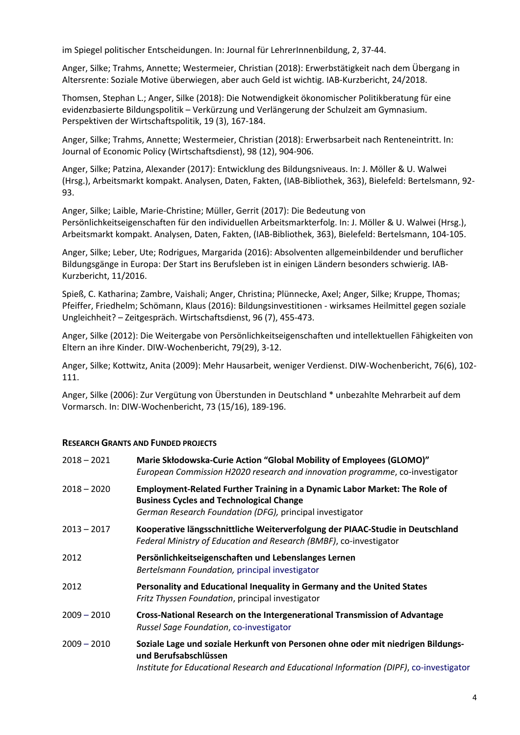im Spiegel politischer Entscheidungen. In: Journal für LehrerInnenbildung, 2, 37-44.

Anger, Silke; Trahms, Annette; Westermeier, Christian (2018): Erwerbstätigkeit nach dem Übergang in Altersrente: Soziale Motive überwiegen, aber auch Geld ist wichtig. IAB-Kurzbericht, 24/2018.

Thomsen, Stephan L.; Anger, Silke (2018): Die Notwendigkeit ökonomischer Politikberatung für eine evidenzbasierte Bildungspolitik – Verkürzung und Verlängerung der Schulzeit am Gymnasium. Perspektiven der Wirtschaftspolitik, 19 (3), 167-184.

Anger, Silke; Trahms, Annette; Westermeier, Christian (2018): Erwerbsarbeit nach Renteneintritt. In: Journal of Economic Policy (Wirtschaftsdienst), 98 (12), 904-906.

Anger, Silke; Patzina, Alexander (2017): Entwicklung des Bildungsniveaus. In: J. Möller & U. Walwei (Hrsg.), Arbeitsmarkt kompakt. Analysen, Daten, Fakten, (IAB-Bibliothek, 363), Bielefeld: Bertelsmann, 92- 93.

Anger, Silke; Laible, Marie-Christine; Müller, Gerrit (2017): Die Bedeutung von Persönlichkeitseigenschaften für den individuellen Arbeitsmarkterfolg. In: J. Möller & U. Walwei (Hrsg.), Arbeitsmarkt kompakt. Analysen, Daten, Fakten, (IAB-Bibliothek, 363), Bielefeld: Bertelsmann, 104-105.

Anger, Silke; Leber, Ute; Rodrigues, Margarida (2016): Absolventen allgemeinbildender und beruflicher Bildungsgänge in Europa: Der Start ins Berufsleben ist in einigen Ländern besonders schwierig. IAB-Kurzbericht, 11/2016.

Spieß, C. Katharina; Zambre, Vaishali; Anger, Christina; Plünnecke, Axel; Anger, Silke; Kruppe, Thomas; Pfeiffer, Friedhelm; Schömann, Klaus (2016): Bildungsinvestitionen - wirksames Heilmittel gegen soziale Ungleichheit? – Zeitgespräch. Wirtschaftsdienst, 96 (7), 455-473.

Anger, Silke (2012): Die Weitergabe von Persönlichkeitseigenschaften und intellektuellen Fähigkeiten von Eltern an ihre Kinder. DIW-Wochenbericht, 79(29), 3-12.

Anger, Silke; Kottwitz, Anita (2009): Mehr Hausarbeit, weniger Verdienst. DIW-Wochenbericht, 76(6), 102- 111.

Anger, Silke (2006): Zur Vergütung von Überstunden in Deutschland \* unbezahlte Mehrarbeit auf dem Vormarsch. In: DIW-Wochenbericht, 73 (15/16), 189-196.

## **RESEARCH GRANTS AND FUNDED PROJECTS**

| Marie Skłodowska-Curie Action "Global Mobility of Employees (GLOMO)"<br>European Commission H2020 research and innovation programme, co-investigator                                                |
|-----------------------------------------------------------------------------------------------------------------------------------------------------------------------------------------------------|
| Employment-Related Further Training in a Dynamic Labor Market: The Role of<br><b>Business Cycles and Technological Change</b><br>German Research Foundation (DFG), principal investigator           |
| Kooperative längsschnittliche Weiterverfolgung der PIAAC-Studie in Deutschland<br>Federal Ministry of Education and Research (BMBF), co-investigator                                                |
| Persönlichkeitseigenschaften und Lebenslanges Lernen<br>Bertelsmann Foundation, principal investigator                                                                                              |
| Personality and Educational Inequality in Germany and the United States<br>Fritz Thyssen Foundation, principal investigator                                                                         |
| Cross-National Research on the Intergenerational Transmission of Advantage<br>Russel Sage Foundation, co-investigator                                                                               |
| Soziale Lage und soziale Herkunft von Personen ohne oder mit niedrigen Bildungs-<br>und Berufsabschlüssen<br>Institute for Educational Research and Educational Information (DIPF), co-investigator |
|                                                                                                                                                                                                     |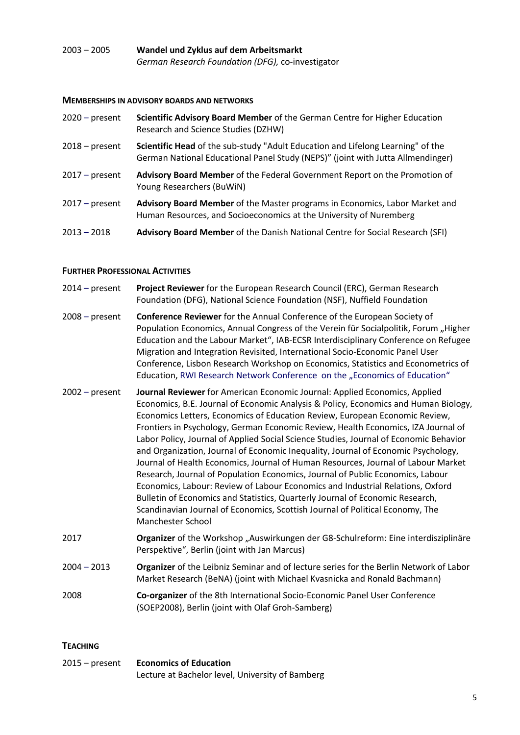## 2003 – 2005 **Wandel und Zyklus auf dem Arbeitsmarkt**  *German Research Foundation (DFG),* co-investigator

## **MEMBERSHIPS IN ADVISORY BOARDS AND NETWORKS**

| $2020$ – present | Scientific Advisory Board Member of the German Centre for Higher Education<br>Research and Science Studies (DZHW)                                                  |
|------------------|--------------------------------------------------------------------------------------------------------------------------------------------------------------------|
| $2018$ – present | Scientific Head of the sub-study "Adult Education and Lifelong Learning" of the<br>German National Educational Panel Study (NEPS)" (joint with Jutta Allmendinger) |
| $2017$ – present | Advisory Board Member of the Federal Government Report on the Promotion of<br>Young Researchers (BuWiN)                                                            |
| $2017 - present$ | Advisory Board Member of the Master programs in Economics, Labor Market and<br>Human Resources, and Socioeconomics at the University of Nuremberg                  |
| $2013 - 2018$    | Advisory Board Member of the Danish National Centre for Social Research (SFI)                                                                                      |

## **FURTHER PROFESSIONAL ACTIVITIES**

- 2014 present **Project Reviewer** for the European Research Council (ERC), German Research Foundation (DFG), National Science Foundation (NSF), Nuffield Foundation
- 2008 present **Conference Reviewer** for the Annual Conference of the European Society of Population Economics, Annual Congress of the Verein für Socialpolitik, Forum "Higher Education and the Labour Market", IAB-ECSR Interdisciplinary Conference on Refugee Migration and Integration Revisited, International Socio-Economic Panel User Conference, Lisbon Research Workshop on Economics, Statistics and Econometrics of Education, RWI Research Network Conference on the "Economics of Education"
- 2002 present **Journal Reviewer** for American Economic Journal: Applied Economics, Applied Economics, B.E. Journal of Economic Analysis & Policy, Economics and Human Biology, Economics Letters, Economics of Education Review, European Economic Review, Frontiers in Psychology, German Economic Review, Health Economics, IZA Journal of Labor Policy, Journal of Applied Social Science Studies, Journal of Economic Behavior and Organization, Journal of Economic Inequality, Journal of Economic Psychology, Journal of Health Economics, Journal of Human Resources, Journal of Labour Market Research, Journal of Population Economics, Journal of Public Economics, Labour Economics, Labour: Review of Labour Economics and Industrial Relations, Oxford Bulletin of Economics and Statistics, Quarterly Journal of Economic Research, Scandinavian Journal of Economics, Scottish Journal of Political Economy, The Manchester School
- 2017 **Organizer** of the Workshop "Auswirkungen der G8-Schulreform: Eine interdisziplinäre Perspektive", Berlin (joint with Jan Marcus)
- 2004 2013 **Organizer** of the Leibniz Seminar and of lecture series for the Berlin Network of Labor Market Research (BeNA) (joint with Michael Kvasnicka and Ronald Bachmann)
- 2008 **Co-organizer** of the 8th International Socio-Economic Panel User Conference (SOEP2008), Berlin (joint with Olaf Groh-Samberg)

## **TEACHING**

2015 – present **Economics of Education**  Lecture at Bachelor level, University of Bamberg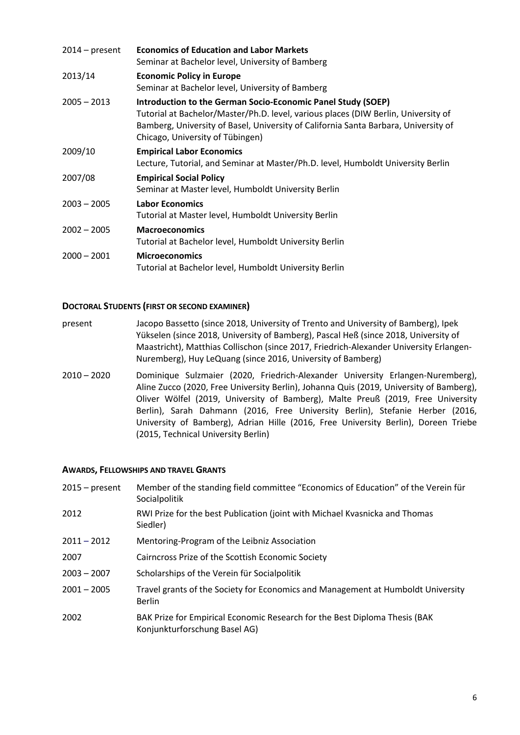| $2014$ – present | <b>Economics of Education and Labor Markets</b><br>Seminar at Bachelor level, University of Bamberg                                                                                                                                                                           |
|------------------|-------------------------------------------------------------------------------------------------------------------------------------------------------------------------------------------------------------------------------------------------------------------------------|
| 2013/14          | <b>Economic Policy in Europe</b><br>Seminar at Bachelor level, University of Bamberg                                                                                                                                                                                          |
| $2005 - 2013$    | Introduction to the German Socio-Economic Panel Study (SOEP)<br>Tutorial at Bachelor/Master/Ph.D. level, various places (DIW Berlin, University of<br>Bamberg, University of Basel, University of California Santa Barbara, University of<br>Chicago, University of Tübingen) |
| 2009/10          | <b>Empirical Labor Economics</b><br>Lecture, Tutorial, and Seminar at Master/Ph.D. level, Humboldt University Berlin                                                                                                                                                          |
| 2007/08          | <b>Empirical Social Policy</b><br>Seminar at Master level, Humboldt University Berlin                                                                                                                                                                                         |
| $2003 - 2005$    | <b>Labor Economics</b><br>Tutorial at Master level, Humboldt University Berlin                                                                                                                                                                                                |
| $2002 - 2005$    | <b>Macroeconomics</b><br>Tutorial at Bachelor level, Humboldt University Berlin                                                                                                                                                                                               |
| $2000 - 2001$    | <b>Microeconomics</b><br>Tutorial at Bachelor level, Humboldt University Berlin                                                                                                                                                                                               |

## **DOCTORAL STUDENTS (FIRST OR SECOND EXAMINER)**

- present Jacopo Bassetto (since 2018, University of Trento and University of Bamberg), Ipek Yükselen (since 2018, University of Bamberg), Pascal Heß (since 2018, University of Maastricht), Matthias Collischon (since 2017, Friedrich-Alexander University Erlangen-Nuremberg), Huy LeQuang (since 2016, University of Bamberg)
- 2010 2020 Dominique Sulzmaier (2020, Friedrich-Alexander University Erlangen-Nuremberg), Aline Zucco (2020, Free University Berlin), Johanna Quis (2019, University of Bamberg), Oliver Wölfel (2019, University of Bamberg), Malte Preuß (2019, Free University Berlin), Sarah Dahmann (2016, Free University Berlin), Stefanie Herber (2016, University of Bamberg), Adrian Hille (2016, Free University Berlin), Doreen Triebe (2015, Technical University Berlin)

## **AWARDS, FELLOWSHIPS AND TRAVEL GRANTS**

| Member of the standing field committee "Economics of Education" of the Verein für<br>Socialpolitik          |
|-------------------------------------------------------------------------------------------------------------|
| RWI Prize for the best Publication (joint with Michael Kvasnicka and Thomas<br>Siedler)                     |
| Mentoring-Program of the Leibniz Association                                                                |
| Cairncross Prize of the Scottish Economic Society                                                           |
| Scholarships of the Verein für Socialpolitik                                                                |
| Travel grants of the Society for Economics and Management at Humboldt University<br><b>Berlin</b>           |
| BAK Prize for Empirical Economic Research for the Best Diploma Thesis (BAK<br>Konjunkturforschung Basel AG) |
|                                                                                                             |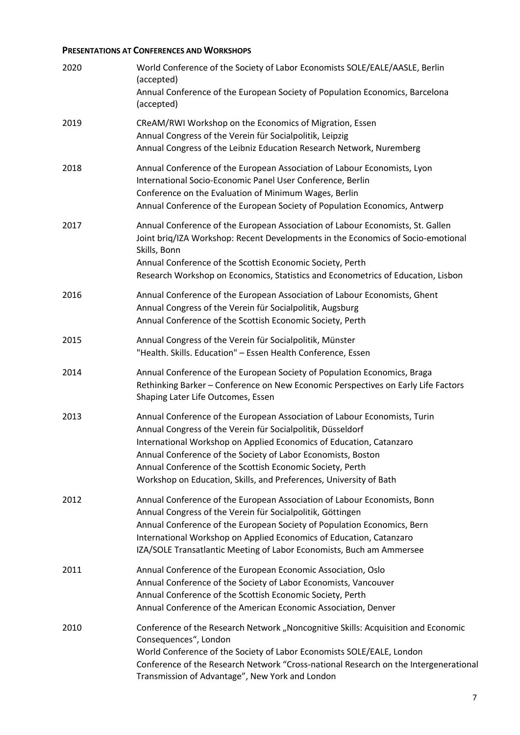## **PRESENTATIONS AT CONFERENCES AND WORKSHOPS**

| 2020 | World Conference of the Society of Labor Economists SOLE/EALE/AASLE, Berlin<br>(accepted)<br>Annual Conference of the European Society of Population Economics, Barcelona<br>(accepted)                                                                                                                                                                                                                            |
|------|--------------------------------------------------------------------------------------------------------------------------------------------------------------------------------------------------------------------------------------------------------------------------------------------------------------------------------------------------------------------------------------------------------------------|
| 2019 | CReAM/RWI Workshop on the Economics of Migration, Essen<br>Annual Congress of the Verein für Socialpolitik, Leipzig<br>Annual Congress of the Leibniz Education Research Network, Nuremberg                                                                                                                                                                                                                        |
| 2018 | Annual Conference of the European Association of Labour Economists, Lyon<br>International Socio-Economic Panel User Conference, Berlin<br>Conference on the Evaluation of Minimum Wages, Berlin<br>Annual Conference of the European Society of Population Economics, Antwerp                                                                                                                                      |
| 2017 | Annual Conference of the European Association of Labour Economists, St. Gallen<br>Joint brig/IZA Workshop: Recent Developments in the Economics of Socio-emotional<br>Skills, Bonn<br>Annual Conference of the Scottish Economic Society, Perth<br>Research Workshop on Economics, Statistics and Econometrics of Education, Lisbon                                                                                |
| 2016 | Annual Conference of the European Association of Labour Economists, Ghent<br>Annual Congress of the Verein für Socialpolitik, Augsburg<br>Annual Conference of the Scottish Economic Society, Perth                                                                                                                                                                                                                |
| 2015 | Annual Congress of the Verein für Socialpolitik, Münster<br>"Health. Skills. Education" - Essen Health Conference, Essen                                                                                                                                                                                                                                                                                           |
| 2014 | Annual Conference of the European Society of Population Economics, Braga<br>Rethinking Barker - Conference on New Economic Perspectives on Early Life Factors<br>Shaping Later Life Outcomes, Essen                                                                                                                                                                                                                |
| 2013 | Annual Conference of the European Association of Labour Economists, Turin<br>Annual Congress of the Verein für Socialpolitik, Düsseldorf<br>International Workshop on Applied Economics of Education, Catanzaro<br>Annual Conference of the Society of Labor Economists, Boston<br>Annual Conference of the Scottish Economic Society, Perth<br>Workshop on Education, Skills, and Preferences, University of Bath |
| 2012 | Annual Conference of the European Association of Labour Economists, Bonn<br>Annual Congress of the Verein für Socialpolitik, Göttingen<br>Annual Conference of the European Society of Population Economics, Bern<br>International Workshop on Applied Economics of Education, Catanzaro<br>IZA/SOLE Transatlantic Meeting of Labor Economists, Buch am Ammersee                                                   |
| 2011 | Annual Conference of the European Economic Association, Oslo<br>Annual Conference of the Society of Labor Economists, Vancouver<br>Annual Conference of the Scottish Economic Society, Perth<br>Annual Conference of the American Economic Association, Denver                                                                                                                                                     |
| 2010 | Conference of the Research Network "Noncognitive Skills: Acquisition and Economic<br>Consequences", London<br>World Conference of the Society of Labor Economists SOLE/EALE, London<br>Conference of the Research Network "Cross-national Research on the Intergenerational<br>Transmission of Advantage", New York and London                                                                                     |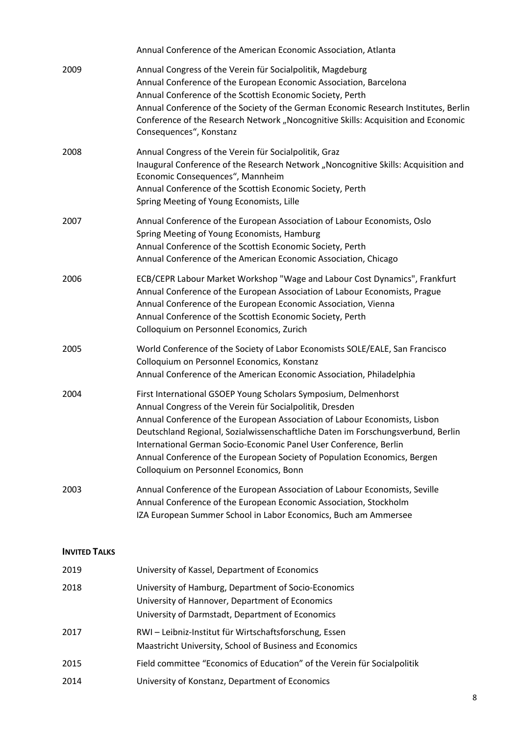|                      | Annual Conference of the American Economic Association, Atlanta                                                                                                                                                                                                                                                                                                                                                                                                                            |
|----------------------|--------------------------------------------------------------------------------------------------------------------------------------------------------------------------------------------------------------------------------------------------------------------------------------------------------------------------------------------------------------------------------------------------------------------------------------------------------------------------------------------|
| 2009                 | Annual Congress of the Verein für Socialpolitik, Magdeburg<br>Annual Conference of the European Economic Association, Barcelona<br>Annual Conference of the Scottish Economic Society, Perth<br>Annual Conference of the Society of the German Economic Research Institutes, Berlin<br>Conference of the Research Network "Noncognitive Skills: Acquisition and Economic<br>Consequences", Konstanz                                                                                        |
| 2008                 | Annual Congress of the Verein für Socialpolitik, Graz<br>Inaugural Conference of the Research Network "Noncognitive Skills: Acquisition and<br>Economic Consequences", Mannheim<br>Annual Conference of the Scottish Economic Society, Perth<br>Spring Meeting of Young Economists, Lille                                                                                                                                                                                                  |
| 2007                 | Annual Conference of the European Association of Labour Economists, Oslo<br>Spring Meeting of Young Economists, Hamburg<br>Annual Conference of the Scottish Economic Society, Perth<br>Annual Conference of the American Economic Association, Chicago                                                                                                                                                                                                                                    |
| 2006                 | ECB/CEPR Labour Market Workshop "Wage and Labour Cost Dynamics", Frankfurt<br>Annual Conference of the European Association of Labour Economists, Prague<br>Annual Conference of the European Economic Association, Vienna<br>Annual Conference of the Scottish Economic Society, Perth<br>Colloquium on Personnel Economics, Zurich                                                                                                                                                       |
| 2005                 | World Conference of the Society of Labor Economists SOLE/EALE, San Francisco<br>Colloquium on Personnel Economics, Konstanz<br>Annual Conference of the American Economic Association, Philadelphia                                                                                                                                                                                                                                                                                        |
| 2004                 | First International GSOEP Young Scholars Symposium, Delmenhorst<br>Annual Congress of the Verein für Socialpolitik, Dresden<br>Annual Conference of the European Association of Labour Economists, Lisbon<br>Deutschland Regional, Sozialwissenschaftliche Daten im Forschungsverbund, Berlin<br>International German Socio-Economic Panel User Conference, Berlin<br>Annual Conference of the European Society of Population Economics, Bergen<br>Colloquium on Personnel Economics, Bonn |
| 2003                 | Annual Conference of the European Association of Labour Economists, Seville<br>Annual Conference of the European Economic Association, Stockholm<br>IZA European Summer School in Labor Economics, Buch am Ammersee                                                                                                                                                                                                                                                                        |
| <b>INVITED TALKS</b> |                                                                                                                                                                                                                                                                                                                                                                                                                                                                                            |
| 2019                 | University of Kassel, Department of Economics                                                                                                                                                                                                                                                                                                                                                                                                                                              |
| 2018                 | University of Hamburg, Department of Socio-Economics<br>University of Hannover, Department of Economics<br>University of Darmstadt, Department of Economics                                                                                                                                                                                                                                                                                                                                |
| 2017                 | RWI-Leibniz-Institut für Wirtschaftsforschung, Essen<br>Maastricht University, School of Business and Economics                                                                                                                                                                                                                                                                                                                                                                            |
| 2015                 | Field committee "Economics of Education" of the Verein für Socialpolitik                                                                                                                                                                                                                                                                                                                                                                                                                   |
| 2014                 | University of Konstanz, Department of Economics                                                                                                                                                                                                                                                                                                                                                                                                                                            |